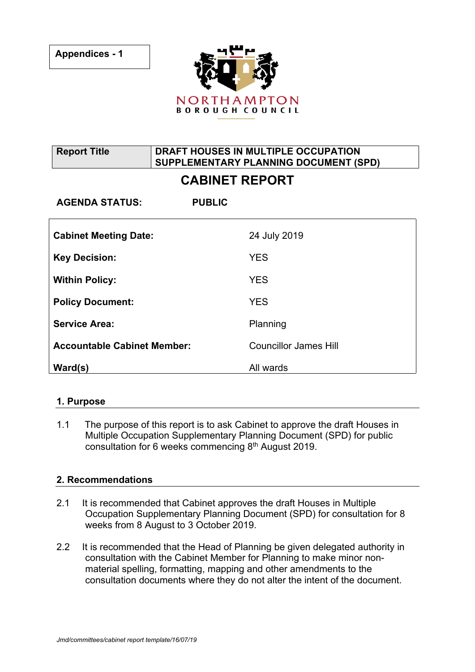

**Report Title DRAFT HOUSES IN MULTIPLE OCCUPATION SUPPLEMENTARY PLANNING DOCUMENT (SPD)**

# **CABINET REPORT**

| <b>AGENDA STATUS:</b>              | <b>PUBLIC</b>                |
|------------------------------------|------------------------------|
| <b>Cabinet Meeting Date:</b>       | 24 July 2019                 |
| <b>Key Decision:</b>               | <b>YES</b>                   |
| <b>Within Policy:</b>              | <b>YES</b>                   |
| <b>Policy Document:</b>            | <b>YES</b>                   |
| <b>Service Area:</b>               | Planning                     |
| <b>Accountable Cabinet Member:</b> | <b>Councillor James Hill</b> |
| Ward(s)                            | All wards                    |

### **1. Purpose**

1.1 The purpose of this report is to ask Cabinet to approve the draft Houses in Multiple Occupation Supplementary Planning Document (SPD) for public consultation for 6 weeks commencing 8<sup>th</sup> August 2019.

### **2. Recommendations**

- 2.1 It is recommended that Cabinet approves the draft Houses in Multiple Occupation Supplementary Planning Document (SPD) for consultation for 8 weeks from 8 August to 3 October 2019.
- 2.2 It is recommended that the Head of Planning be given delegated authority in consultation with the Cabinet Member for Planning to make minor nonmaterial spelling, formatting, mapping and other amendments to the consultation documents where they do not alter the intent of the document.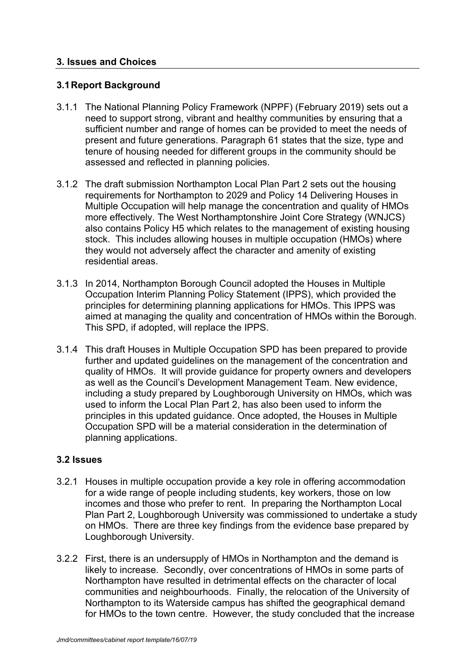### **3. Issues and Choices**

### **3.1Report Background**

- 3.1.1 The National Planning Policy Framework (NPPF) (February 2019) sets out a need to support strong, vibrant and healthy communities by ensuring that a sufficient number and range of homes can be provided to meet the needs of present and future generations. Paragraph 61 states that the size, type and tenure of housing needed for different groups in the community should be assessed and reflected in planning policies.
- 3.1.2 The draft submission Northampton Local Plan Part 2 sets out the housing requirements for Northampton to 2029 and Policy 14 Delivering Houses in Multiple Occupation will help manage the concentration and quality of HMOs more effectively. The West Northamptonshire Joint Core Strategy (WNJCS) also contains Policy H5 which relates to the management of existing housing stock. This includes allowing houses in multiple occupation (HMOs) where they would not adversely affect the character and amenity of existing residential areas.
- 3.1.3 In 2014, Northampton Borough Council adopted the Houses in Multiple Occupation Interim Planning Policy Statement (IPPS), which provided the principles for determining planning applications for HMOs. This IPPS was aimed at managing the quality and concentration of HMOs within the Borough. This SPD, if adopted, will replace the IPPS.
- 3.1.4 This draft Houses in Multiple Occupation SPD has been prepared to provide further and updated guidelines on the management of the concentration and quality of HMOs. It will provide guidance for property owners and developers as well as the Council's Development Management Team. New evidence, including a study prepared by Loughborough University on HMOs, which was used to inform the Local Plan Part 2, has also been used to inform the principles in this updated guidance. Once adopted, the Houses in Multiple Occupation SPD will be a material consideration in the determination of planning applications.

### **3.2 Issues**

- 3.2.1 Houses in multiple occupation provide a key role in offering accommodation for a wide range of people including students, key workers, those on low incomes and those who prefer to rent. In preparing the Northampton Local Plan Part 2, Loughborough University was commissioned to undertake a study on HMOs. There are three key findings from the evidence base prepared by Loughborough University.
- 3.2.2 First, there is an undersupply of HMOs in Northampton and the demand is likely to increase. Secondly, over concentrations of HMOs in some parts of Northampton have resulted in detrimental effects on the character of local communities and neighbourhoods. Finally, the relocation of the University of Northampton to its Waterside campus has shifted the geographical demand for HMOs to the town centre. However, the study concluded that the increase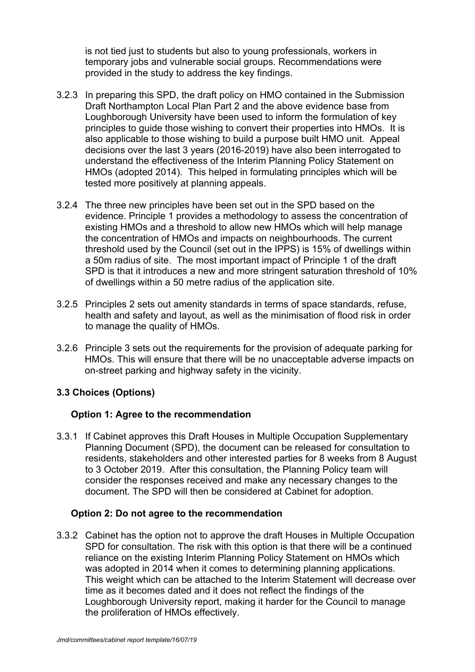is not tied just to students but also to young professionals, workers in temporary jobs and vulnerable social groups. Recommendations were provided in the study to address the key findings.

- 3.2.3 In preparing this SPD, the draft policy on HMO contained in the Submission Draft Northampton Local Plan Part 2 and the above evidence base from Loughborough University have been used to inform the formulation of key principles to guide those wishing to convert their properties into HMOs. It is also applicable to those wishing to build a purpose built HMO unit. Appeal decisions over the last 3 years (2016-2019) have also been interrogated to understand the effectiveness of the Interim Planning Policy Statement on HMOs (adopted 2014). This helped in formulating principles which will be tested more positively at planning appeals.
- 3.2.4 The three new principles have been set out in the SPD based on the evidence. Principle 1 provides a methodology to assess the concentration of existing HMOs and a threshold to allow new HMOs which will help manage the concentration of HMOs and impacts on neighbourhoods. The current threshold used by the Council (set out in the IPPS) is 15% of dwellings within a 50m radius of site. The most important impact of Principle 1 of the draft SPD is that it introduces a new and more stringent saturation threshold of 10% of dwellings within a 50 metre radius of the application site.
- 3.2.5 Principles 2 sets out amenity standards in terms of space standards, refuse, health and safety and layout, as well as the minimisation of flood risk in order to manage the quality of HMOs.
- 3.2.6 Principle 3 sets out the requirements for the provision of adequate parking for HMOs. This will ensure that there will be no unacceptable adverse impacts on on-street parking and highway safety in the vicinity.

### **3.3 Choices (Options)**

### **Option 1: Agree to the recommendation**

3.3.1 If Cabinet approves this Draft Houses in Multiple Occupation Supplementary Planning Document (SPD), the document can be released for consultation to residents, stakeholders and other interested parties for 8 weeks from 8 August to 3 October 2019. After this consultation, the Planning Policy team will consider the responses received and make any necessary changes to the document. The SPD will then be considered at Cabinet for adoption.

### **Option 2: Do not agree to the recommendation**

3.3.2 Cabinet has the option not to approve the draft Houses in Multiple Occupation SPD for consultation. The risk with this option is that there will be a continued reliance on the existing Interim Planning Policy Statement on HMOs which was adopted in 2014 when it comes to determining planning applications. This weight which can be attached to the Interim Statement will decrease over time as it becomes dated and it does not reflect the findings of the Loughborough University report, making it harder for the Council to manage the proliferation of HMOs effectively.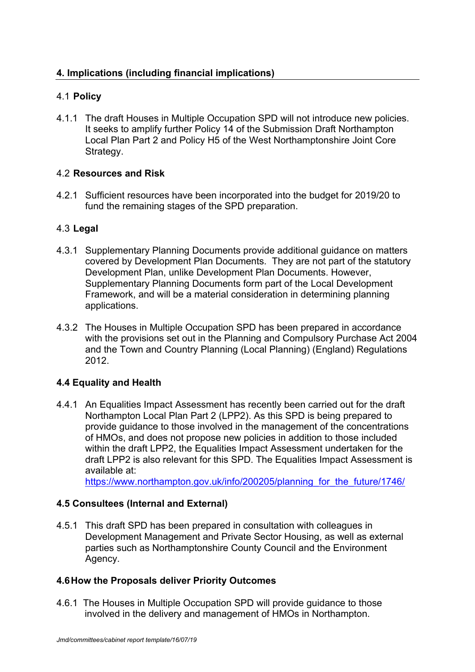# 4.1 **Policy**

4.1.1 The draft Houses in Multiple Occupation SPD will not introduce new policies. It seeks to amplify further Policy 14 of the Submission Draft Northampton Local Plan Part 2 and Policy H5 of the West Northamptonshire Joint Core Strategy.

# 4.2 **Resources and Risk**

4.2.1 Sufficient resources have been incorporated into the budget for 2019/20 to fund the remaining stages of the SPD preparation.

# 4.3 **Legal**

- 4.3.1 Supplementary Planning Documents provide additional guidance on matters covered by Development Plan Documents. They are not part of the statutory Development Plan, unlike Development Plan Documents. However, Supplementary Planning Documents form part of the Local Development Framework, and will be a material consideration in determining planning applications.
- 4.3.2 The Houses in Multiple Occupation SPD has been prepared in accordance with the provisions set out in the Planning and Compulsory Purchase Act 2004 and the Town and Country Planning (Local Planning) (England) Regulations 2012.

# **4.4 Equality and Health**

4.4.1 An Equalities Impact Assessment has recently been carried out for the draft Northampton Local Plan Part 2 (LPP2). As this SPD is being prepared to provide guidance to those involved in the management of the concentrations of HMOs, and does not propose new policies in addition to those included within the draft LPP2, the Equalities Impact Assessment undertaken for the draft LPP2 is also relevant for this SPD. The Equalities Impact Assessment is available at:

https://www.northampton.gov.uk/info/200205/planning for the future/1746/

# **4.5 Consultees (Internal and External)**

4.5.1 This draft SPD has been prepared in consultation with colleagues in Development Management and Private Sector Housing, as well as external parties such as Northamptonshire County Council and the Environment Agency.

### **4.6How the Proposals deliver Priority Outcomes**

4.6.1 The Houses in Multiple Occupation SPD will provide guidance to those involved in the delivery and management of HMOs in Northampton.